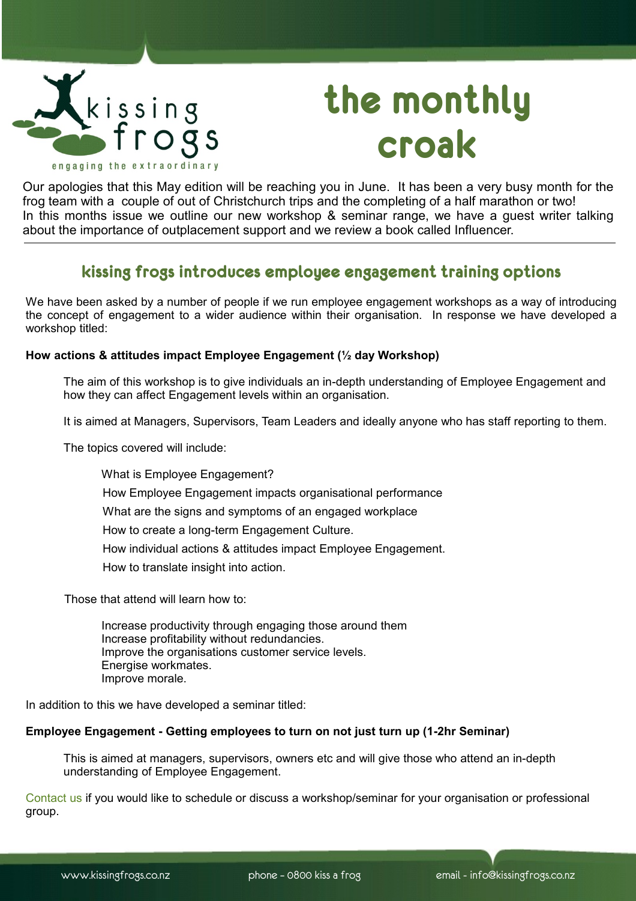

# **the monthly croak**

Our apologies that this May edition will be reaching you in June. It has been a very busy month for the frog team with a couple of out of Christchurch trips and the completing of a half marathon or two! In this months issue we outline our new workshop & seminar range, we have a guest writer talking about the importance of outplacement support and we review a book called Influencer.

# **kissing frogs introduces employee engagement training options**

We have been asked by a number of people if we run employee engagement workshops as a way of introducing the concept of engagement to a wider audience within their organisation. In response we have developed a workshop titled:

### **How actions & attitudes impact Employee Engagement (½ day Workshop)**

The aim of this workshop is to give individuals an in-depth understanding of Employee Engagement and how they can affect Engagement levels within an organisation.

It is aimed at Managers, Supervisors, Team Leaders and ideally anyone who has staff reporting to them.

The topics covered will include:

What is Employee Engagement? How Employee Engagement impacts organisational performance What are the signs and symptoms of an engaged workplace How to create a long-term Engagement Culture. How individual actions & attitudes impact Employee Engagement. How to translate insight into action.

Those that attend will learn how to:

Increase productivity through engaging those around them Increase profitability without redundancies. Improve the organisations customer service levels. Energise workmates. Improve morale.

In addition to this we have developed a seminar titled:

### **Employee Engagement - Getting employees to turn on not just turn up (1-2hr Seminar)**

This is aimed at managers, supervisors, owners etc and will give those who attend an in-depth understanding of Employee Engagement.

[Contact us](mailto:training@kissingfrogs.co.nz?subject=Workshop/Seminar%20Query) if you would like to schedule or discuss a workshop/seminar for your organisation or professional group.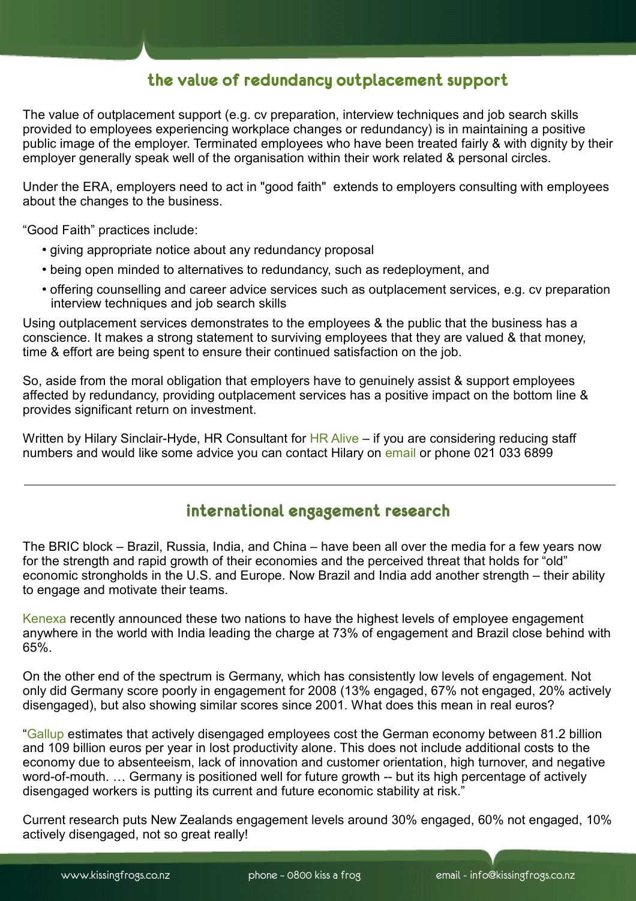## **the value of redundancy outplacement support**

The value of outplacement support (e.g. cv preparation, interview techniques and job search skills provided to employees experiencing workplace changes or redundancy) is in maintaining a positive public image of the employer. Terminated employees who have been treated fairly & with dignity by their employer generally speak well of the organisation within their work related & personal circles.

Under the ERA, employers need to act in "good faith" extends to employers consulting with employees about the changes to the business.

"Good Faith" practices include:

- giving appropriate notice about any redundancy proposal
- being open minded to alternatives to redundancy, such as redeployment, and
- offering counselling and career advice services such as outplacement services, e.g. cv preparation interview techniques and job search skills

Using outplacement services demonstrates to the employees & the public that the business has a conscience. It makes a strong statement to surviving employees that they are valued & that money, time & effort are being spent to ensure their continued satisfaction on the job.

So, aside from the moral obligation that employers have to genuinely assist & support employees affected by redundancy, providing outplacement services has a positive impact on the bottom line & provides significant return on investment.

Written by Hilary Sinclair-Hyde, HR Consultant for [HR Alive](http://www.hralive.co.nz/) – if you are considering reducing staff numbers and would like some advice you can contact Hilary on [email](mailto:hilary@hralive.co.nz?subject=Query%20) or phone 021 033 6899

## **international engagement research**

The BRIC block – Brazil, Russia, India, and China – have been all over the media for a few years now for the strength and rapid growth of their economies and the perceived threat that holds for "old" economic strongholds in the U.S. and Europe. Now Brazil and India add another strength – their ability to engage and motivate their teams.

[Kenexa](http://www.kenexa.com/AboutUs.aspx) recently announced these two nations to have the highest levels of employee engagement anywhere in the world with India leading the charge at 73% of engagement and Brazil close behind with 65%.

On the other end of the spectrum is Germany, which has consistently low levels of engagement. Not only did Germany score poorly in engagement for 2008 (13% engaged, 67% not engaged, 20% actively disengaged), but also showing similar scores since 2001. What does this mean in real euros?

["Gallup](http://www.gallup.com/Home.aspx) estimates that actively disengaged employees cost the German economy between 81.2 billion and 109 billion euros per year in lost productivity alone. This does not include additional costs to the economy due to absenteeism, lack of innovation and customer orientation, high turnover, and negative word-of-mouth. … Germany is positioned well for future growth -- but its high percentage of actively disengaged workers is putting its current and future economic stability at risk."

Current research puts New Zealands engagement levels around 30% engaged, 60% not engaged, 10% actively disengaged, not so great really!